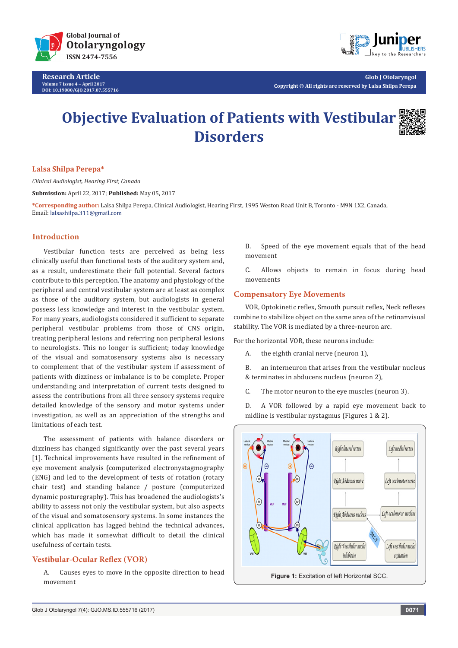

**Research Article Volume 7 Issue 4** - **April 2017 DOI: [10.19080/GJO.2017.07.555716](http://dx.doi.org/10.19080/GJO.2017.07.555716)**



**Glob J Otolaryngol Copyright © All rights are reserved by Lalsa Shilpa Perepa**

# **Objective Evaluation of Patients with Vestibular Disorders**



#### **Lalsa Shilpa Perepa\***

*Clinical Audiologist, Hearing First, Canada*

**Submission:** April 22, 2017; **Published:** May 05, 2017

**\*Corresponding author:** Lalsa Shilpa Perepa, Clinical Audiologist, Hearing First, 1995 Weston Road Unit B, Toronto - M9N 1X2, Canada, Email: lalsashilpa.311@gmail.com

# **Introduction**

Vestibular function tests are perceived as being less clinically useful than functional tests of the auditory system and, as a result, underestimate their full potential. Several factors contribute to this perception. The anatomy and physiology of the peripheral and central vestibular system are at least as complex as those of the auditory system, but audiologists in general possess less knowledge and interest in the vestibular system. For many years, audiologists considered it sufficient to separate peripheral vestibular problems from those of CNS origin, treating peripheral lesions and referring non peripheral lesions to neurologists. This no longer is sufficient; today knowledge of the visual and somatosensory systems also is necessary to complement that of the vestibular system if assessment of patients with dizziness or imbalance is to be complete. Proper understanding and interpretation of current tests designed to assess the contributions from all three sensory systems require detailed knowledge of the sensory and motor systems under investigation, as well as an appreciation of the strengths and limitations of each test.

The assessment of patients with balance disorders or dizziness has changed significantly over the past several years [1]. Technical improvements have resulted in the refinement of eye movement analysis (computerized electronystagmography (ENG) and led to the development of tests of rotation (rotary chair test) and standing balance / posture (computerized dynamic posturegraphy). This has broadened the audiologists's ability to assess not only the vestibular system, but also aspects of the visual and somatosensory systems. In some instances the clinical application has lagged behind the technical advances, which has made it somewhat difficult to detail the clinical usefulness of certain tests.

## **Vestibular-Ocular Reflex (VOR)**

A. Causes eyes to move in the opposite direction to head movement

B. Speed of the eye movement equals that of the head movement

C. Allows objects to remain in focus during head movements

## **Compensatory Eye Movements**

VOR, Optokinetic reflex, Smooth pursuit reflex, Neck reflexes combine to stabilize object on the same area of the retina=visual stability. The VOR is mediated by a three-neuron arc.

For the horizontal VOR, these neurons include:

A. the eighth cranial nerve (neuron 1),

B. an interneuron that arises from the vestibular nucleus & terminates in abducens nucleus (neuron 2),

C. The motor neuron to the eye muscles (neuron 3).

D. A VOR followed by a rapid eye movement back to midline is vestibular nystagmus (Figures 1 & 2).

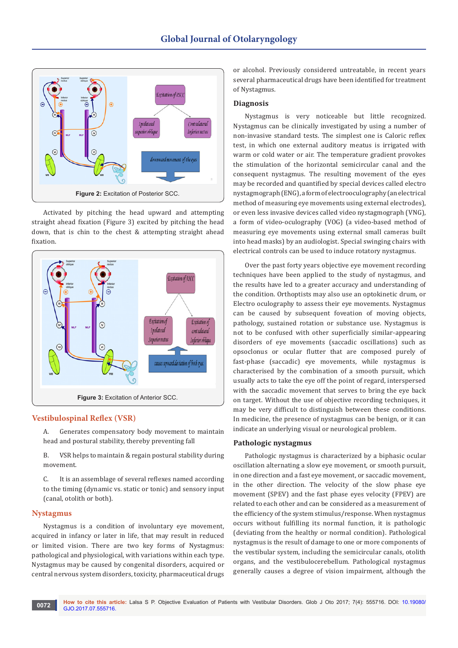

Activated by pitching the head upward and attempting straight ahead fixation (Figure 3) excited by pitching the head down, that is chin to the chest & attempting straight ahead fixation.



# **Vestibulospinal Reflex (VSR)**

A. Generates compensatory body movement to maintain head and postural stability, thereby preventing fall

B. VSR helps to maintain & regain postural stability during movement.

C. It is an assemblage of several reflexes named according to the timing (dynamic vs. static or tonic) and sensory input (canal, otolith or both).

## **Nystagmus**

Nystagmus is a condition of involuntary eye movement, acquired in infancy or later in life, that may result in reduced or limited vision. There are two key forms of Nystagmus: pathological and physiological, with variations within each type. Nystagmus may be caused by congenital disorders, acquired or central nervous system disorders, toxicity, pharmaceutical drugs

or alcohol. Previously considered untreatable, in recent years several pharmaceutical drugs have been identified for treatment of Nystagmus.

#### **Diagnosis**

Nystagmus is very noticeable but little recognized. Nystagmus can be clinically investigated by using a number of non-invasive standard tests. The simplest one is Caloric reflex test, in which one external auditory meatus is irrigated with warm or cold water or air. The temperature gradient provokes the stimulation of the horizontal semicircular canal and the consequent nystagmus. The resulting movement of the eyes may be recorded and quantified by special devices called electro nystagmograph (ENG), a form of electrooculography (an electrical method of measuring eye movements using external electrodes), or even less invasive devices called video nystagmograph (VNG), a form of video-oculography (VOG) (a video-based method of measuring eye movements using external small cameras built into head masks) by an audiologist. Special swinging chairs with electrical controls can be used to induce rotatory nystagmus.

Over the past forty years objective eye movement recording techniques have been applied to the study of nystagmus, and the results have led to a greater accuracy and understanding of the condition. Orthoptists may also use an optokinetic drum, or Electro oculography to assess their eye movements. Nystagmus can be caused by subsequent foveation of moving objects, pathology, sustained rotation or substance use. Nystagmus is not to be confused with other superficially similar-appearing disorders of eye movements (saccadic oscillations) such as opsoclonus or ocular flutter that are composed purely of fast-phase (saccadic) eye movements, while nystagmus is characterised by the combination of a smooth pursuit, which usually acts to take the eye off the point of regard, interspersed with the saccadic movement that serves to bring the eye back on target. Without the use of objective recording techniques, it may be very difficult to distinguish between these conditions. In medicine, the presence of nystagmus can be benign, or it can indicate an underlying visual or neurological problem.

#### **Pathologic nystagmus**

Pathologic nystagmus is characterized by a biphasic ocular oscillation alternating a slow eye movement, or smooth pursuit, in one direction and a fast eye movement, or saccadic movement, in the other direction. The velocity of the slow phase eye movement (SPEV) and the fast phase eyes velocity (FPEV) are related to each other and can be considered as a measurement of the efficiency of the system stimulus/response. When nystagmus occurs without fulfilling its normal function, it is pathologic (deviating from the healthy or normal condition). Pathological nystagmus is the result of damage to one or more components of the vestibular system, including the semicircular canals, otolith organs, and the vestibulocerebellum. Pathological nystagmus generally causes a degree of vision impairment, although the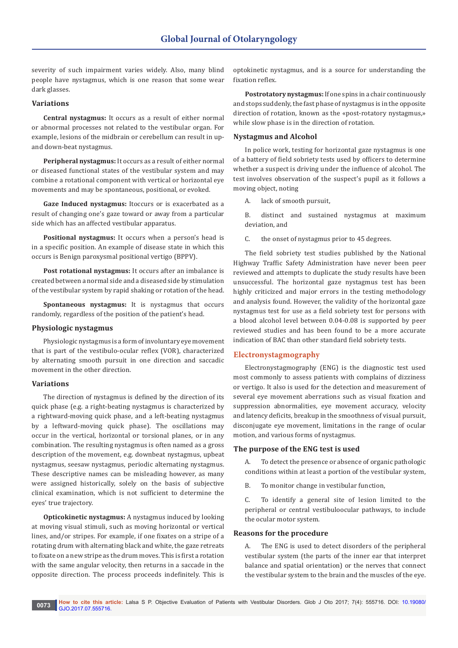severity of such impairment varies widely. Also, many blind people have nystagmus, which is one reason that some wear dark glasses.

## **Variations**

**Central nystagmus:** It occurs as a result of either normal or abnormal processes not related to the vestibular organ. For example, lesions of the midbrain or cerebellum can result in upand down-beat nystagmus.

**Peripheral nystagmus:** It occurs as a result of either normal or diseased functional states of the vestibular system and may combine a rotational component with vertical or horizontal eye movements and may be spontaneous, positional, or evoked.

**Gaze Induced nystagmus:** Itoccurs or is exacerbated as a result of changing one's gaze toward or away from a particular side which has an affected vestibular apparatus.

**Positional nystagmus:** It occurs when a person's head is in a specific position. An example of disease state in which this occurs is Benign paroxysmal positional vertigo (BPPV).

**Post rotational nystagmus:** It occurs after an imbalance is created between a normal side and a diseased side by stimulation of the vestibular system by rapid shaking or rotation of the head.

**Spontaneous nystagmus:** It is nystagmus that occurs randomly, regardless of the position of the patient's head.

#### **Physiologic nystagmus**

Physiologic nystagmus is a form of involuntary eye movement that is part of the vestibulo-ocular reflex (VOR), characterized by alternating smooth pursuit in one direction and saccadic movement in the other direction.

#### **Variations**

The direction of nystagmus is defined by the direction of its quick phase (e.g. a right-beating nystagmus is characterized by a rightward-moving quick phase, and a left-beating nystagmus by a leftward-moving quick phase). The oscillations may occur in the vertical, horizontal or torsional planes, or in any combination. The resulting nystagmus is often named as a gross description of the movement, e.g. downbeat nystagmus, upbeat nystagmus, seesaw nystagmus, periodic alternating nystagmus. These descriptive names can be misleading however, as many were assigned historically, solely on the basis of subjective clinical examination, which is not sufficient to determine the eyes' true trajectory.

**Opticokinetic nystagmus:** A nystagmus induced by looking at moving visual stimuli, such as moving horizontal or vertical lines, and/or stripes. For example, if one fixates on a stripe of a rotating drum with alternating black and white, the gaze retreats to fixate on a new stripe as the drum moves. This is first a rotation with the same angular velocity, then returns in a saccade in the opposite direction. The process proceeds indefinitely. This is

optokinetic nystagmus, and is a source for understanding the fixation reflex.

**Postrotatory nystagmus:** If one spins in a chair continuously and stops suddenly, the fast phase of nystagmus is in the opposite direction of rotation, known as the «post-rotatory nystagmus,» while slow phase is in the direction of rotation.

#### **Nystagmus and Alcohol**

In police work, testing for horizontal gaze nystagmus is one of a battery of field sobriety tests used by officers to determine whether a suspect is driving under the influence of alcohol. The test involves observation of the suspect's pupil as it follows a moving object, noting

A. lack of smooth pursuit,

- B. distinct and sustained nystagmus at maximum deviation, and
- C. the onset of nystagmus prior to 45 degrees.

The field sobriety test studies published by the National Highway Traffic Safety Administration have never been peer reviewed and attempts to duplicate the study results have been unsuccessful. The horizontal gaze nystagmus test has been highly criticized and major errors in the testing methodology and analysis found. However, the validity of the horizontal gaze nystagmus test for use as a field sobriety test for persons with a blood alcohol level between 0.04-0.08 is supported by peer reviewed studies and has been found to be a more accurate indication of BAC than other standard field sobriety tests.

## **Electronystagmography**

Electronystagmography (ENG) is the diagnostic test used most commonly to assess patients with complains of dizziness or vertigo. It also is used for the detection and measurement of several eye movement aberrations such as visual fixation and suppression abnormalities, eye movement accuracy, velocity and latency deficits, breakup in the smoothness of visual pursuit, disconjugate eye movement, limitations in the range of ocular motion, and various forms of nystagmus.

#### **The purpose of the ENG test is used**

A. To detect the presence or absence of organic pathologic conditions within at least a portion of the vestibular system,

B. To monitor change in vestibular function,

C. To identify a general site of lesion limited to the peripheral or central vestibuloocular pathways, to include the ocular motor system.

#### **Reasons for the procedure**

The ENG is used to detect disorders of the peripheral vestibular system (the parts of the inner ear that interpret balance and spatial orientation) or the nerves that connect the vestibular system to the brain and the muscles of the eye.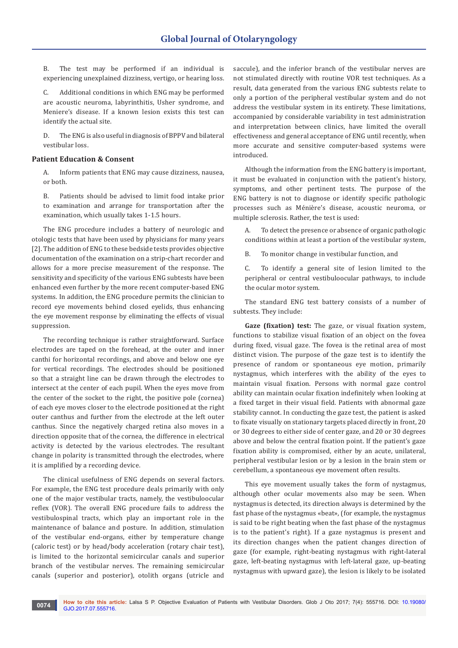B. The test may be performed if an individual is experiencing unexplained dizziness, vertigo, or hearing loss.

C. Additional conditions in which ENG may be performed are acoustic neuroma, labyrinthitis, Usher syndrome, and Meniere's disease. If a known lesion exists this test can identify the actual site.

D. The ENG is also useful in diagnosis of BPPV and bilateral vestibular loss.

#### **Patient Education & Consent**

A. Inform patients that ENG may cause dizziness, nausea, or both.

B. Patients should be advised to limit food intake prior to examination and arrange for transportation after the examination, which usually takes 1-1.5 hours.

The ENG procedure includes a battery of neurologic and otologic tests that have been used by physicians for many years [2]. The addition of ENG to these bedside tests provides objective documentation of the examination on a strip-chart recorder and allows for a more precise measurement of the response. The sensitivity and specificity of the various ENG subtests have been enhanced even further by the more recent computer-based ENG systems. In addition, the ENG procedure permits the clinician to record eye movements behind closed eyelids, thus enhancing the eye movement response by eliminating the effects of visual suppression.

The recording technique is rather straightforward. Surface electrodes are taped on the forehead, at the outer and inner canthi for horizontal recordings, and above and below one eye for vertical recordings. The electrodes should be positioned so that a straight line can be drawn through the electrodes to intersect at the center of each pupil. When the eyes move from the center of the socket to the right, the positive pole (cornea) of each eye moves closer to the electrode positioned at the right outer canthus and further from the electrode at the left outer canthus. Since the negatively charged retina also moves in a direction opposite that of the cornea, the difference in electrical activity is detected by the various electrodes. The resultant change in polarity is transmitted through the electrodes, where it is amplified by a recording device.

The clinical usefulness of ENG depends on several factors. For example, the ENG test procedure deals primarily with only one of the major vestibular tracts, namely, the vestibuloocular reflex (VOR). The overall ENG procedure fails to address the vestibulospinal tracts, which play an important role in the maintenance of balance and posture. In addition, stimulation of the vestibular end-organs, either by temperature change (caloric test) or by head/body acceleration (rotary chair test), is limited to the horizontal semicircular canals and superior branch of the vestibular nerves. The remaining semicircular canals (superior and posterior), otolith organs (utricle and

saccule), and the inferior branch of the vestibular nerves are not stimulated directly with routine VOR test techniques. As a result, data generated from the various ENG subtests relate to only a portion of the peripheral vestibular system and do not address the vestibular system in its entirety. These limitations, accompanied by considerable variability in test administration and interpretation between clinics, have limited the overall effectiveness and general acceptance of ENG until recently, when more accurate and sensitive computer-based systems were introduced.

Although the information from the ENG battery is important, it must be evaluated in conjunction with the patient's history, symptoms, and other pertinent tests. The purpose of the ENG battery is not to diagnose or identify specific pathologic processes such as Ménière's disease, acoustic neuroma, or multiple sclerosis. Rather, the test is used:

A. To detect the presence or absence of organic pathologic conditions within at least a portion of the vestibular system,

B. To monitor change in vestibular function, and

C. To identify a general site of lesion limited to the peripheral or central vestibuloocular pathways, to include the ocular motor system.

The standard ENG test battery consists of a number of subtests. They include:

**Gaze (fixation) test:** The gaze, or visual fixation system, functions to stabilize visual fixation of an object on the fovea during fixed, visual gaze. The fovea is the retinal area of most distinct vision. The purpose of the gaze test is to identify the presence of random or spontaneous eye motion, primarily nystagmus, which interferes with the ability of the eyes to maintain visual fixation. Persons with normal gaze control ability can maintain ocular fixation indefinitely when looking at a fixed target in their visual field. Patients with abnormal gaze stability cannot. In conducting the gaze test, the patient is asked to fixate visually on stationary targets placed directly in front, 20 or 30 degrees to either side of center gaze, and 20 or 30 degrees above and below the central fixation point. If the patient's gaze fixation ability is compromised, either by an acute, unilateral, peripheral vestibular lesion or by a lesion in the brain stem or cerebellum, a spontaneous eye movement often results.

This eye movement usually takes the form of nystagmus, although other ocular movements also may be seen. When nystagmus is detected, its direction always is determined by the fast phase of the nystagmus «beat», (for example, the nystagmus is said to be right beating when the fast phase of the nystagmus is to the patient's right). If a gaze nystagmus is present and its direction changes when the patient changes direction of gaze (for example, right-beating nystagmus with right-lateral gaze, left-beating nystagmus with left-lateral gaze, up-beating nystagmus with upward gaze), the lesion is likely to be isolated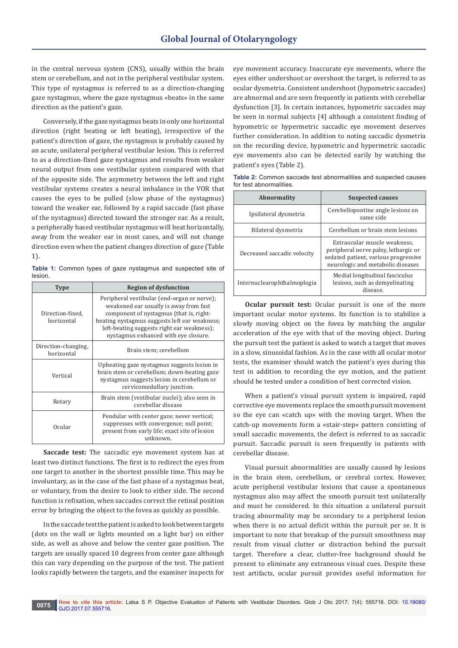in the central nervous system (CNS), usually within the brain stem or cerebellum, and not in the peripheral vestibular system. This type of nystagmus is referred to as a direction-changing gaze nystagmus, where the gaze nystagmus «beats» in the same direction as the patient's gaze.

Conversely, if the gaze nystagmus beats in only one horizontal direction (right beating or left beating), irrespective of the patient's direction of gaze, the nystagmus is probably caused by an acute, unilateral peripheral vestibular lesion. This is referred to as a direction-fixed gaze nystagmus and results from weaker neural output from one vestibular system compared with that of the opposite side. The asymmetry between the left and right vestibular systems creates a neural imbalance in the VOR that causes the eyes to be pulled (slow phase of the nystagmus) toward the weaker ear, followed by a rapid saccade (fast phase of the nystagmus) directed toward the stronger ear. As a result, a peripherally based vestibular nystagmus will beat horizontally, away from the weaker ear in most cases, and will not change direction even when the patient changes direction of gaze (Table 1).

**Table 1:** Common types of gaze nystagmus and suspected site of lesion.

| Type                              | <b>Region of dysfunction</b>                                                                                                                                                                                                                                            |
|-----------------------------------|-------------------------------------------------------------------------------------------------------------------------------------------------------------------------------------------------------------------------------------------------------------------------|
| Direction-fixed,<br>horizontal    | Peripheral vestibular (end-organ or nerve);<br>weakened ear usually is away from fast<br>component of nystagmus (that is, right-<br>beating nystagmus suggests left ear weakness;<br>left-beating suggests right ear weakness);<br>nystagmus enhanced with eye closure. |
| Direction-changing,<br>horizontal | Brain stem; cerebellum                                                                                                                                                                                                                                                  |
| Vertical                          | Upbeating gaze nystagmus suggests lesion in<br>brain stem or cerebellum; down-beating gaze<br>nystagmus suggests lesion in cerebellum or<br>cervicomedullary junction.                                                                                                  |
| Rotary                            | Brain stem (vestibular nuclei); also seen in<br>cerebellar disease                                                                                                                                                                                                      |
| Ocular                            | Pendular with center gaze; never vertical;<br>suppresses with convergence; null point;<br>present from early life; exact site of lesion<br>unknown.                                                                                                                     |

**Saccade test:** The saccadic eye movement system has at least two distinct functions. The first is to redirect the eyes from one target to another in the shortest possible time. This may be involuntary, as in the case of the fast phase of a nystagmus beat, or voluntary, from the desire to look to either side. The second function is refixation, when saccades correct the retinal position error by bringing the object to the fovea as quickly as possible.

In the saccade test the patient is asked to look between targets (dots on the wall or lights mounted on a light bar) on either side, as well as above and below the center gaze position. The targets are usually spaced 10 degrees from center gaze although this can vary depending on the purpose of the test. The patient looks rapidly between the targets, and the examiner inspects for eye movement accuracy. Inaccurate eye movements, where the eyes either undershoot or overshoot the target, is referred to as ocular dysmetria. Consistent undershoot (hypometric saccades) are abnormal and are seen frequently in patients with cerebellar dysfunction [3]. In certain instances, hypometric saccades may be seen in normal subjects [4] although a consistent finding of hypometric or hypermetric saccadic eye movement deserves further consideration. In addition to noting saccadic dysmetria on the recording device, hypometric and hypermetric saccadic eye movements also can be detected earily by watching the patient's eyes (Table 2).

| Table 2: Common saccade test abnormalities and suspected causes |  |  |  |
|-----------------------------------------------------------------|--|--|--|
| for test abnormalities.                                         |  |  |  |

| <b>Abnormality</b>          | <b>Suspected causes</b>                                                                                                                           |  |
|-----------------------------|---------------------------------------------------------------------------------------------------------------------------------------------------|--|
| Ipsilateral dysmetria       | Cerebellopontine angle lesions on<br>same side                                                                                                    |  |
| Bilateral dysmetria         | Cerebellum or brain stem lesions                                                                                                                  |  |
| Decreased saccadic velocity | Extraocular muscle weakness.<br>peripheral nerve palsy, lethargic or<br>sedated patient, various progressive<br>neurologic and metabolic diseases |  |
| Internuclearophthalmoplegia | Medial longitudinal fasciculus<br>lesions, such as demyelinating<br>disease.                                                                      |  |

**Ocular pursuit test:** Ocular pursuit is one of the more important ocular motor systems. Its function is to stabilize a slowly moving object on the fovea by matching the angular acceleration of the eye with that of the moving object. During the pursuit test the patient is asked to watch a target that moves in a slow, sinusoidal fashion. As in the case with all ocular motor tests, the examiner should watch the patient's eyes during this test in addition to recording the eye motion, and the patient should be tested under a condition of best corrected vision.

When a patient's visual pursuit system is impaired, rapid corrective eye movements replace the smooth pursuit movement so the eye can «catch up» with the moving target. When the catch-up movements form a «stair-step» pattern consisting of small saccadic movements, the defect is referred to as saccadic pursuit. Saccadic pursuit is seen frequently in patients with cerebellar disease.

Visual pursuit abnormalities are usually caused by lesions in the brain stem, cerebellum, or cerebral cortex. However, acute peripheral vestibular lesions that cause a spontaneous nystagmus also may affect the smooth pursuit test unilaterally and must be considered. In this situation a unilateral pursuit tracing abnormality may be secondary to a peripheral lesion when there is no actual deficit within the pursuit per se. It is important to note that breakup of the pursuit smoothness may result from visual clutter or distraction behind the pursuit target. Therefore a clear, clutter-free background should be present to eliminate any extraneous visual cues. Despite these test artifacts, ocular pursuit provides useful information for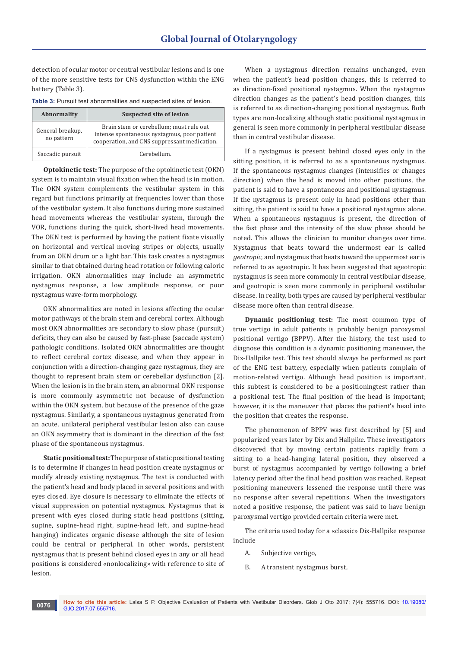detection of ocular motor or central vestibular lesions and is one of the more sensitive tests for CNS dysfunction within the ENG battery (Table 3).

| Abnormality                    | <b>Suspected site of lesion</b>                                                                                                        |
|--------------------------------|----------------------------------------------------------------------------------------------------------------------------------------|
| General breakup,<br>no pattern | Brain stem or cerebellum; must rule out<br>intense spontaneous nystagmus, poor patient<br>cooperation, and CNS suppressant medication. |
| Saccadic pursuit               | Cerebellum.                                                                                                                            |

**Optokinetic test:** The purpose of the optokinetic test (OKN) system is to maintain visual fixation when the head is in motion. The OKN system complements the vestibular system in this regard but functions primarily at frequencies lower than those of the vestibular system. It also functions during more sustained head movements whereas the vestibular system, through the VOR, functions during the quick, short-lived head movements. The OKN test is performed by having the patient fixate visually on horizontal and vertical moving stripes or objects, usually from an OKN drum or a light bar. This task creates a nystagmus similar to that obtained during head rotation or following caloric irrigation. OKN abnormalities may include an asymmetric nystagmus response, a low amplitude response, or poor nystagmus wave-form morphology.

OKN abnormalities are noted in lesions affecting the ocular motor pathways of the brain stem and cerebral cortex. Although most OKN abnormalities are secondary to slow phase (pursuit) deficits, they can also be caused by fast-phase (saccade system) pathologic conditions. Isolated OKN abnormalities are thought to reflect cerebral cortex disease, and when they appear in conjunction with a direction-changing gaze nystagmus, they are thought to represent brain stem or cerebellar dysfunction [2]. When the lesion is in the brain stem, an abnormal OKN response is more commonly asymmetric not because of dysfunction within the OKN system, but because of the presence of the gaze nystagmus. Similarly, a spontaneous nystagmus generated from an acute, unilateral peripheral vestibular lesion also can cause an OKN asymmetry that is dominant in the direction of the fast phase of the spontaneous nystagmus.

**Static positional test:** The purpose of static positional testing is to determine if changes in head position create nystagmus or modify already existing nystagmus. The test is conducted with the patient's head and body placed in several positions and with eyes closed. Eye closure is necessary to eliminate the effects of visual suppression on potential nystagmus. Nystagmus that is present with eyes closed during static head positions (sitting, supine, supine-head right, supine-head left, and supine-head hanging) indicates organic disease although the site of lesion could be central or peripheral. In other words, persistent nystagmus that is present behind closed eyes in any or all head positions is considered «nonlocalizing» with reference to site of lesion.

When a nystagmus direction remains unchanged, even when the patient's head position changes, this is referred to as direction-fixed positional nystagmus. When the nystagmus direction changes as the patient's head position changes, this is referred to as direction-changing positional nystagmus. Both types are non-localizing although static positional nystagmus in general is seen more commonly in peripheral vestibular disease than in central vestibular disease.

If a nystagmus is present behind closed eyes only in the sitting position, it is referred to as a spontaneous nystagmus. If the spontaneous nystagmus changes (intensifies or changes direction) when the head is moved into other positions, the patient is said to have a spontaneous and positional nystagmus. If the nystagmus is present only in head positions other than sitting, the patient is said to have a positional nystagmus alone. When a spontaneous nystagmus is present, the direction of the fast phase and the intensity of the slow phase should be noted. This allows the clinician to monitor changes over time. Nystagmus that beats toward the undermost ear is called *geotropic*, and nystagmus that beats toward the uppermost ear is referred to as ageotropic. It has been suggested that ageotropic nystagmus is seen more commonly in central vestibular disease, and geotropic is seen more commonly in peripheral vestibular disease. In reality, both types are caused by peripheral vestibular disease more often than central disease.

**Dynamic positioning test:** The most common type of true vertigo in adult patients is probably benign paroxysmal positional vertigo (BPPV). After the history, the test used to diagnose this condition is a dynamic positioning maneuver, the Dix-Hallpike test. This test should always be performed as part of the ENG test battery, especially when patients complain of motion-related vertigo. Although head position is important, this subtest is considered to be a positioningtest rather than a positional test. The final position of the head is important; however, it is the maneuver that places the patient's head into the position that creates the response.

The phenomenon of BPPV was first described by [5] and popularized years later by Dix and Hallpike. These investigators discovered that by moving certain patients rapidly from a sitting to a head-hanging lateral position, they observed a burst of nystagmus accompanied by vertigo following a brief latency period after the final head position was reached. Repeat positioning maneuvers lessened the response until there was no response after several repetitions. When the investigators noted a positive response, the patient was said to have benign paroxysmal vertigo provided certain criteria were met.

The criteria used today for a «classic» Dix-Hallpike response include

- A. Subjective vertigo,
- B. A transient nystagmus burst,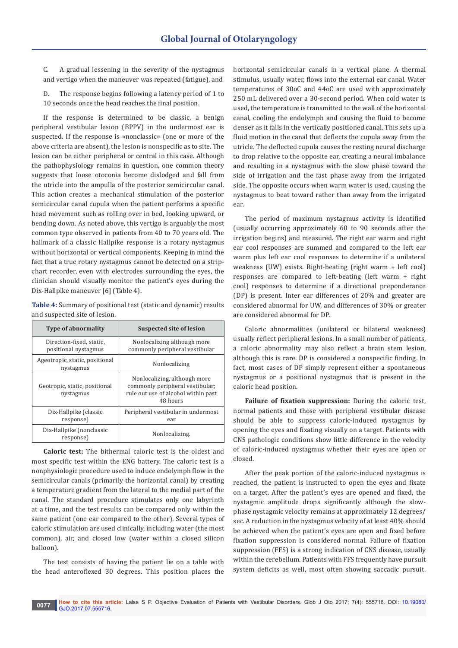C. A gradual lessening in the severity of the nystagmus and vertigo when the maneuver was repeated (fatigue), and

D. The response begins following a latency period of 1 to 10 seconds once the head reaches the final position.

If the response is determined to be classic, a benign peripheral vestibular lesion (BPPV) in the undermost ear is suspected. If the response is «nonclassic» (one or more of the above criteria are absent), the lesion is nonspecific as to site. The lesion can be either peripheral or central in this case. Although the pathophysiology remains in question, one common theory suggests that loose otoconia become dislodged and fall from the utricle into the ampulla of the posterior semicircular canal. This action creates a mechanical stimulation of the posterior semicircular canal cupula when the patient performs a specific head movement such as rolling over in bed, looking upward, or bending down. As noted above, this vertigo is arguably the most common type observed in patients from 40 to 70 years old. The hallmark of a classic Hallpike response is a rotary nystagmus without horizontal or vertical components. Keeping in mind the fact that a true rotary nystagmus cannot be detected on a stripchart recorder, even with electrodes surrounding the eyes, the clinician should visually monitor the patient's eyes during the Dix-Hallpike maneuver [6] (Table 4).

**Table 4:** Summary of positional test (static and dynamic) results and suspected site of lesion.

| <b>Type of abnormality</b>                       |                                             | <b>Suspected site of lesion</b>                                                                                    |
|--------------------------------------------------|---------------------------------------------|--------------------------------------------------------------------------------------------------------------------|
| Direction-fixed, static,<br>positional nystagmus |                                             | Nonlocalizing although more<br>commonly peripheral vestibular                                                      |
|                                                  | Ageotropic, static, positional<br>nystagmus | Nonlocalizing                                                                                                      |
|                                                  | Geotropic, static, positional<br>nystagmus  | Nonlocalizing, although more<br>commonly peripheral vestibular;<br>rule out use of alcohol within past<br>48 hours |
|                                                  | Dix-Hallpike (classic<br>response)          | Peripheral vestibular in undermost<br>ear                                                                          |
|                                                  | Dix-Hallpike (nonclassic<br>response)       | Nonlocalizing.                                                                                                     |

**Caloric test:** The bithermal caloric test is the oldest and most specific test within the ENG battery. The caloric test is a nonphysiologic procedure used to induce endolymph flow in the semicircular canals (primarily the horizontal canal) by creating a temperature gradient from the lateral to the medial part of the canal. The standard procedure stimulates only one labyrinth at a time, and the test results can be compared only within the same patient (one ear compared to the other). Several types of caloric stimulation are used clinically, including water (the most common), air, and closed low (water within a closed silicon balloon).

The test consists of having the patient lie on a table with the head anteroflexed 30 degrees. This position places the horizontal semicircular canals in a vertical plane. A thermal stimulus, usually water, flows into the external ear canal. Water temperatures of 30oC and 44oC are used with approximately 250 mL delivered over a 30-second period. When cold water is used, the temperature is transmitted to the wall of the horizontal canal, cooling the endolymph and causing the fluid to become denser as it falls in the vertically positioned canal. This sets up a fluid motion in the canal that deflects the cupula away from the utricle. The deflected cupula causes the resting neural discharge to drop relative to the opposite ear, creating a neural imbalance and resulting in a nystagmus with the slow phase toward the side of irrigation and the fast phase away from the irrigated side. The opposite occurs when warm water is used, causing the nystagmus to beat toward rather than away from the irrigated ear.

The period of maximum nystagmus activity is identified (usually occurring approximately 60 to 90 seconds after the irrigation begins) and measured. The right ear warm and right ear cool responses are summed and compared to the left ear warm plus left ear cool responses to determine if a unilateral weakness (UW) exists. Right-beating (right warm + left cool) responses are compared to left-beating (left warm + right cool) responses to determine if a directional preponderance (DP) is present. Inter ear differences of 20% and greater are considered abnormal for UW, and differences of 30% or greater are considered abnormal for DP.

Caloric abnormalities (unilateral or bilateral weakness) usually reflect peripheral lesions. In a small number of patients, a caloric abnormality may also reflect a brain stem lesion, although this is rare. DP is considered a nonspecific finding. In fact, most cases of DP simply represent either a spontaneous nystagmus or a positional nystagmus that is present in the caloric head position.

**Failure of fixation suppression:** During the caloric test, normal patients and those with peripheral vestibular disease should be able to suppress caloric-induced nystagmus by opening the eyes and fixating visually on a target. Patients with CNS pathologic conditions show little difference in the velocity of caloric-induced nystagmus whether their eyes are open or closed.

After the peak portion of the caloric-induced nystagmus is reached, the patient is instructed to open the eyes and fixate on a target. After the patient's eyes are opened and fixed, the nystagmic amplitude drops significantly although the slowphase nystagmic velocity remains at approximately 12 degrees/ sec. A reduction in the nystagmus velocity of at least 40% should be achieved when the patient's eyes are open and fixed before fixation suppression is considered normal. Failure of fixation suppression (FFS) is a strong indication of CNS disease, usually within the cerebellum. Patients with FFS frequently have pursuit system deficits as well, most often showing saccadic pursuit.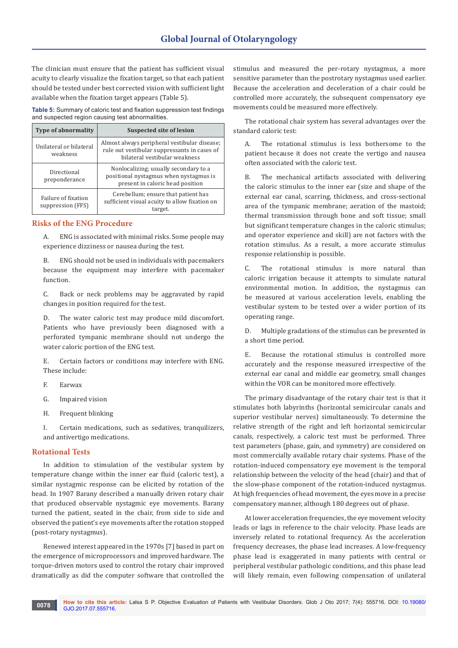The clinician must ensure that the patient has sufficient visual acuity to clearly visualize the fixation target, so that each patient should be tested under best corrected vision with sufficient light available when the fixation target appears (Table 5).

**Table 5:** Summary of caloric test and fixation suppression test findings and suspected region causing test abnormalities.

| <b>Type of abnormality</b>               | <b>Suspected site of lesion</b>                                                                                               |
|------------------------------------------|-------------------------------------------------------------------------------------------------------------------------------|
| Unilateral or bilateral<br>weakness      | Almost always peripheral vestibular disease;<br>rule out vestibular suppressants in cases of<br>bilateral vestibular weakness |
| Directional<br>preponderance             | Nonlocalizing; usually secondary to a<br>positional nystagmus when nystagmus is<br>present in caloric head position           |
| Failure of fixation<br>suppression (FFS) | Cerebellum; ensure that patient has<br>sufficient visual acuity to allow fixation on<br>target.                               |

# **Risks of the ENG Procedure**

A. ENG is associated with minimal risks. Some people may experience dizziness or nausea during the test.

B. ENG should not be used in individuals with pacemakers because the equipment may interfere with pacemaker function.

C. Back or neck problems may be aggravated by rapid changes in position required for the test.

D. The water caloric test may produce mild discomfort. Patients who have previously been diagnosed with a perforated tympanic membrane should not undergo the water caloric portion of the ENG test.

E. Certain factors or conditions may interfere with ENG. These include:

- F. Earwax
- G. Impaired vision
- H. Frequent blinking

I. Certain medications, such as sedatives, tranquilizers, and antivertigo medications.

## **Rotational Tests**

In addition to stimulation of the vestibular system by temperature change within the inner ear fluid (caloric test), a similar nystagmic response can be elicited by rotation of the head. In 1907 Barany described a manually driven rotary chair that produced observable nystagmic eye movements. Barany turned the patient, seated in the chair, from side to side and observed the patient's eye movements after the rotation stopped (post-rotary nystagmus).

Renewed interest appeared in the 1970s [7] based in part on the emergence of microprocessors and improved hardware. The torque-driven motors used to control the rotary chair improved dramatically as did the computer software that controlled the stimulus and measured the per-rotary nystagmus, a more sensitive parameter than the postrotary nystagmus used earlier. Because the acceleration and deceleration of a chair could be controlled more accurately, the subsequent compensatory eye movements could be measured more effectively.

The rotational chair system has several advantages over the standard caloric test:

A. The rotational stimulus is less bothersome to the patient because it does not create the vertigo and nausea often associated with the caloric test.

B. The mechanical artifacts associated with delivering the caloric stimulus to the inner ear (size and shape of the external ear canal, scarring, thickness, and cross-sectional area of the tympanic membrane; aeration of the mastoid; thermal transmission through bone and soft tissue; small but significant temperature changes in the caloric stimulus; and operator experience and skill) are not factors with the rotation stimulus. As a result, a more accurate stimulus response relationship is possible.

C. The rotational stimulus is more natural than caloric irrigation because it attempts to simulate natural environmental motion. In addition, the nystagmus can be measured at various acceleration levels, enabling the vestibular system to be tested over a wider portion of its operating range.

D. Multiple gradations of the stimulus can be presented in a short time period.

E. Because the rotational stimulus is controlled more accurately and the response measured irrespective of the external ear canal and middle ear geometry, small changes within the VOR can be monitored more effectively.

The primary disadvantage of the rotary chair test is that it stimulates both labyrinths (horizontal semicircular canals and superior vestibular nerves) simultaneously. To determine the relative strength of the right and left horizontal semicircular canals, respectively, a caloric test must be performed. Three test parameters (phase, gain, and symmetry) are considered on most commercially available rotary chair systems. Phase of the rotation-induced compensatory eye movement is the temporal relationship between the velocity of the head (chair) and that of the slow-phase component of the rotation-induced nystagmus. At high frequencies of head movement, the eyes move in a precise compensatory manner, although 180 degrees out of phase.

At lower acceleration frequencies, the eye movement velocity leads or lags in reference to the chair velocity. Phase leads are inversely related to rotational frequency. As the acceleration frequency decreases, the phase lead increases. A low-frequency phase lead is exaggerated in many patients with central or peripheral vestibular pathologic conditions, and this phase lead will likely remain, even following compensation of unilateral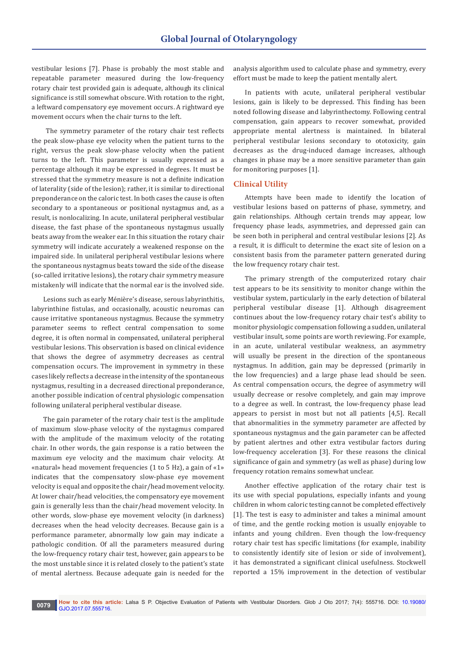vestibular lesions [7]. Phase is probably the most stable and repeatable parameter measured during the low-frequency rotary chair test provided gain is adequate, although its clinical significance is still somewhat obscure. With rotation to the right, a leftward compensatory eye movement occurs. A rightward eye movement occurs when the chair turns to the left.

 The symmetry parameter of the rotary chair test reflects the peak slow-phase eye velocity when the patient turns to the right, versus the peak slow-phase velocity when the patient turns to the left. This parameter is usually expressed as a percentage although it may be expressed in degrees. It must be stressed that the symmetry measure is not a definite indication of laterality (side of the lesion); rather, it is similar to directional preponderance on the caloric test. In both cases the cause is often secondary to a spontaneous or positional nystagmus and, as a result, is nonlocalizing. In acute, unilateral peripheral vestibular disease, the fast phase of the spontaneous nystagmus usually beats away from the weaker ear. In this situation the rotary chair symmetry will indicate accurately a weakened response on the impaired side. In unilateral peripheral vestibular lesions where the spontaneous nystagmus beats toward the side of the disease (so-called irritative lesions), the rotary chair symmetry measure mistakenly will indicate that the normal ear is the involved side.

Lesions such as early Ménière's disease, serous labyrinthitis, labyrinthine fistulas, and occasionally, acoustic neuromas can cause irritative spontaneous nystagmus. Because the symmetry parameter seems to reflect central compensation to some degree, it is often normal in compensated, unilateral peripheral vestibular lesions. This observation is based on clinical evidence that shows the degree of asymmetry decreases as central compensation occurs. The improvement in symmetry in these cases likely reflects a decrease in the intensity of the spontaneous nystagmus, resulting in a decreased directional preponderance, another possible indication of central physiologic compensation following unilateral peripheral vestibular disease.

The gain parameter of the rotary chair test is the amplitude of maximum slow-phase velocity of the nystagmus compared with the amplitude of the maximum velocity of the rotating chair. In other words, the gain response is a ratio between the maximum eye velocity and the maximum chair velocity. At «natural» head movement frequencies (1 to 5 Hz), a gain of «1» indicates that the compensatory slow-phase eye movement velocity is equal and opposite the chair/head movement velocity. At lower chair/head velocities, the compensatory eye movement gain is generally less than the chair/head movement velocity. In other words, slow-phase eye movement velocity (in darkness) decreases when the head velocity decreases. Because gain is a performance parameter, abnormally low gain may indicate a pathologic condition. Of all the parameters measured during the low-frequency rotary chair test, however, gain appears to be the most unstable since it is related closely to the patient's state of mental alertness. Because adequate gain is needed for the

analysis algorithm used to calculate phase and symmetry, every effort must be made to keep the patient mentally alert.

In patients with acute, unilateral peripheral vestibular lesions, gain is likely to be depressed. This finding has been noted following disease and labyrinthectomy. Following central compensation, gain appears to recover somewhat, provided appropriate mental alertness is maintained. In bilateral peripheral vestibular lesions secondary to ototoxicity, gain decreases as the drug-induced damage increases, although changes in phase may be a more sensitive parameter than gain for monitoring purposes [1].

## **Clinical Utility**

Attempts have been made to identify the location of vestibular lesions based on patterns of phase, symmetry, and gain relationships. Although certain trends may appear, low frequency phase leads, asymmetries, and depressed gain can be seen both in peripheral and central vestibular lesions [2]. As a result, it is difficult to determine the exact site of lesion on a consistent basis from the parameter pattern generated during the low frequency rotary chair test.

The primary strength of the computerized rotary chair test appears to be its sensitivity to monitor change within the vestibular system, particularly in the early detection of bilateral peripheral vestibular disease [1]. Although disagreement continues about the low-frequency rotary chair test's ability to monitor physiologic compensation following a sudden, unilateral vestibular insult, some points are worth reviewing. For example, in an acute, unilateral vestibular weakness, an asymmetry will usually be present in the direction of the spontaneous nystagmus. In addition, gain may be depressed (primarily in the low frequencies) and a large phase lead should be seen. As central compensation occurs, the degree of asymmetry will usually decrease or resolve completely, and gain may improve to a degree as well. In contrast, the low-frequency phase lead appears to persist in most but not all patients [4,5]. Recall that abnormalities in the symmetry parameter are affected by spontaneous nystagmus and the gain parameter can be affected by patient alertnes and other extra vestibular factors during low-frequency acceleration [3]. For these reasons the clinical significance of gain and symmetry (as well as phase) during low frequency rotation remains somewhat unclear.

Another effective application of the rotary chair test is its use with special populations, especially infants and young children in whom caloric testing cannot be completed effectively [1]. The test is easy to administer and takes a minimal amount of time, and the gentle rocking motion is usually enjoyable to infants and young children. Even though the low-frequency rotary chair test has specific limitations (for example, inability to consistently identify site of lesion or side of involvement), it has demonstrated a significant clinical usefulness. Stockwell reported a 15% improvement in the detection of vestibular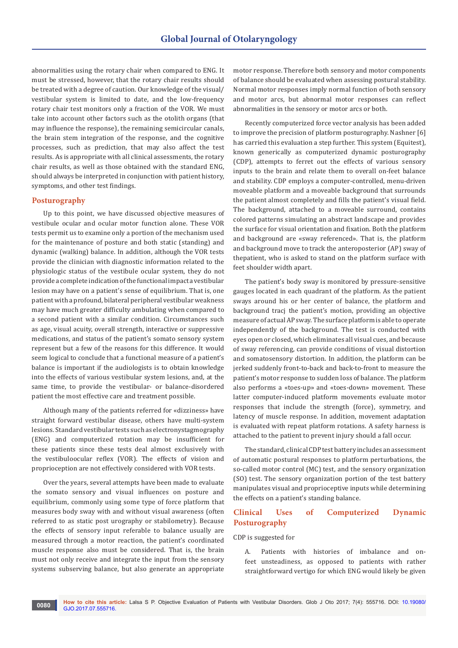abnormalities using the rotary chair when compared to ENG. It must be stressed, however, that the rotary chair results should be treated with a degree of caution. Our knowledge of the visual/ vestibular system is limited to date, and the low-frequency rotary chair test monitors only a fraction of the VOR. We must take into account other factors such as the otolith organs (that may influence the response), the remaining semicircular canals, the brain stem integration of the response, and the cognitive processes, such as prediction, that may also affect the test results. As is appropriate with all clinical assessments, the rotary chair results, as well as those obtained with the standard ENG, should always be interpreted in conjunction with patient history, symptoms, and other test findings.

## **Posturography**

Up to this point, we have discussed objective measures of vestibule ocular and ocular motor function alone. These VOR tests permit us to examine only a portion of the mechanism used for the maintenance of posture and both static (standing) and dynamic (walking) balance. In addition, although the VOR tests provide the clinician with diagnostic information related to the physiologic status of the vestibule ocular system, they do not provide a complete indication of the functional impact a vestibular lesion may have on a patient's sense of equilibrium. That is, one patient with a profound, bilateral peripheral vestibular weakness may have much greater difficulty ambulating when compared to a second patient with a similar condition. Circumstances such as age, visual acuity, overall strength, interactive or suppressive medications, and status of the patient's somato sensory system represent but a few of the reasons for this difference. It would seem logical to conclude that a functional measure of a patient's balance is important if the audiologists is to obtain knowledge into the effects of various vestibular system lesions, and, at the same time, to provide the vestibular- or balance-disordered patient the most effective care and treatment possible.

Although many of the patients referred for «dizziness» have straight forward vestibular disease, others have multi-system lesions. Standard vestibular tests such as electronystagmography (ENG) and computerized rotation may be insufficient for these patients since these tests deal almost exclusively with the vestibuloocular reflex (VOR). The effects of vision and proprioception are not effectively considered with VOR tests.

Over the years, several attempts have been made to evaluate the somato sensory and visual influences on posture and equilibrium, commonly using some type of force platform that measures body sway with and without visual awareness (often referred to as static post urography or stabilometry). Because the effects of sensory input referable to balance usually are measured through a motor reaction, the patient's coordinated muscle response also must be considered. That is, the brain must not only receive and integrate the input from the sensory systems subserving balance, but also generate an appropriate motor response. Therefore both sensory and motor components of balance should be evaluated when assessing postural stability. Normal motor responses imply normal function of both sensory and motor arcs, but abnormal motor responses can reflect abnormalities in the sensory or motor arcs or both.

Recently computerized force vector analysis has been added to improve the precision of platform posturography. Nashner [6] has carried this evaluation a step further. This system (Equitest), known generically as computerized dynamic posturography (CDP), attempts to ferret out the effects of various sensory inputs to the brain and relate them to overall on-feet balance and stability. CDP employs a computer-controlled, menu-driven moveable platform and a moveable background that surrounds the patient almost completely and fills the patient's visual field. The background, attached to a moveable surround, contains colored patterns simulating an abstract landscape and provides the surface for visual orientation and fixation. Both the platform and background are «sway referenced». That is, the platform and background move to track the anteroposterior (AP) sway of thepatient, who is asked to stand on the platform surface with feet shoulder width apart.

The patient's body sway is monitored by pressure-sensitive gauges located in each quadrant of the platform. As the patient sways around his or her center of balance, the platform and background tracj the patient's motion, providing an objective measure of actual AP sway. The surface platform is able to operate independently of the background. The test is conducted with eyes open or closed, which eliminates all visual cues, and because of sway referencing, can provide conditions of visual distortion and somatosensory distortion. In addition, the platform can be jerked suddenly front-to-back and back-to-front to measure the patient's motor response to sudden loss of balance. The platform also performs a «toes-up» and «toes-down» movement. These latter computer-induced platform movements evaluate motor responses that include the strength (force), symmetry, and latency of muscle response. In addition, movement adaptation is evaluated with repeat platform rotations. A safety harness is attached to the patient to prevent injury should a fall occur.

The standard, clinical CDP test battery includes an assessment of automatic postural responses to platform perturbations, the so-called motor control (MC) test, and the sensory organization (SO) test. The sensory organization portion of the test battery manipulates visual and proprioceptive inputs while determining the effects on a patient's standing balance.

# **Clinical Uses of Computerized Dynamic Posturography**

#### CDP is suggested for

A. Patients with histories of imbalance and onfeet unsteadiness, as opposed to patients with rather straightforward vertigo for which ENG would likely be given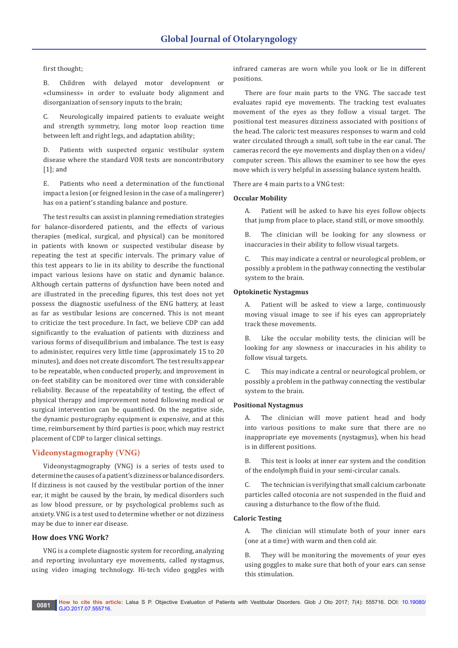## first thought;

B. Children with delayed motor development or «clumsiness» in order to evaluate body alignment and disorganization of sensory inputs to the brain;

C. Neurologically impaired patients to evaluate weight and strength symmetry, long motor loop reaction time between left and right legs, and adaptation ability;

D. Patients with suspected organic vestibular system disease where the standard VOR tests are noncontributory [1]; and

E. Patients who need a determination of the functional impact a lesion (or feigned lesion in the case of a malingerer) has on a patient's standing balance and posture.

The test results can assist in planning remediation strategies for balance-disordered patients, and the effects of various therapies (medical, surgical, and physical) can be monitored in patients with known or suspected vestibular disease by repeating the test at specific intervals. The primary value of this test appears to lie in its ability to describe the functional impact various lesions have on static and dynamic balance. Although certain patterns of dysfunction have been noted and are illustrated in the preceding figures, this test does not yet possess the diagnostic usefulness of the ENG battery, at least as far as vestibular lesions are concerned. This is not meant to criticize the test procedure. In fact, we believe CDP can add significantly to the evaluation of patients with dizziness and various forms of disequilibrium and imbalance. The test is easy to administer, requires very little time (approximately 15 to 20 minutes), and does not create discomfort. The test results appear to be repeatable, when conducted properly, and improvement in on-feet stability can be monitored over time with considerable reliability. Because of the repeatability of testing, the effect of physical therapy and improvement noted following medical or surgical intervention can be quantified. On the negative side, the dynamic posturography equipment is expensive, and at this time, reimbursement by third parties is poor, which may restrict placement of CDP to larger clinical settings.

# **Videonystagmography (VNG)**

Videonystagmography (VNG) is a series of tests used to determine the causes of a patient's dizziness or balance disorders. If dizziness is not caused by the vestibular portion of the inner ear, it might be caused by the brain, by medical disorders such as low blood pressure, or by psychological problems such as anxiety. VNG is a test used to determine whether or not dizziness may be due to inner ear disease.

## **How does VNG Work?**

VNG is a complete diagnostic system for recording, analyzing and reporting involuntary eye movements, called nystagmus, using video imaging technology. Hi-tech video goggles with

infrared cameras are worn while you look or lie in different positions.

There are four main parts to the VNG. The saccade test evaluates rapid eye movements. The tracking test evaluates movement of the eyes as they follow a visual target. The positional test measures dizziness associated with positions of the head. The caloric test measures responses to warm and cold water circulated through a small, soft tube in the ear canal. The cameras record the eye movements and display then on a video/ computer screen. This allows the examiner to see how the eyes move which is very helpful in assessing balance system health.

There are 4 main parts to a VNG test:

## **Occular Mobility**

A. Patient will be asked to have his eyes follow objects that jump from place to place, stand still, or move smoothly.

B. The clinician will be looking for any slowness or inaccuracies in their ability to follow visual targets.

C. This may indicate a central or neurological problem, or possibly a problem in the pathway connecting the vestibular system to the brain.

## **Optokinetic Nystagmus**

A. Patient will be asked to view a large, continuously moving visual image to see if his eyes can appropriately track these movements.

B. Like the occular mobility tests, the clinician will be looking for any slowness or inaccuracies in his ability to follow visual targets.

C. This may indicate a central or neurological problem, or possibly a problem in the pathway connecting the vestibular system to the brain.

## **Positional Nystagmus**

A. The clinician will move patient head and body into various positions to make sure that there are no inappropriate eye movements (nystagmus), when his head is in different positions.

B. This test is looks at inner ear system and the condition of the endolymph fluid in your semi-circular canals.

C. The technician is verifying that small calcium carbonate particles called otoconia are not suspended in the fluid and causing a disturbance to the flow of the fluid.

## **Caloric Testing**

A. The clinician will stimulate both of your inner ears (one at a time) with warm and then cold air.

B. They will be monitoring the movements of your eyes using goggles to make sure that both of your ears can sense this stimulation.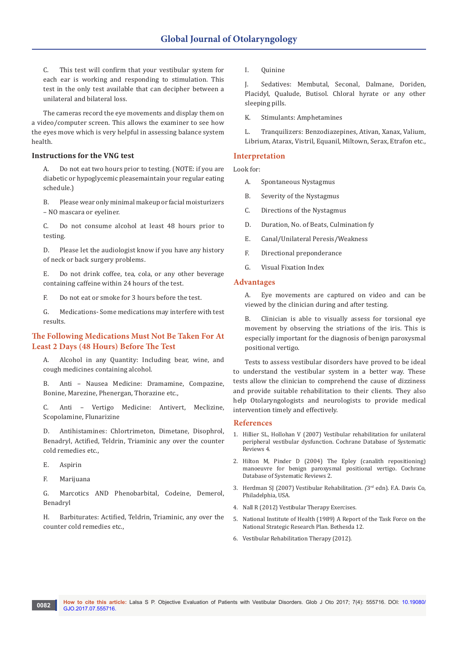C. This test will confirm that your vestibular system for each ear is working and responding to stimulation. This test in the only test available that can decipher between a unilateral and bilateral loss.

The cameras record the eye movements and display them on a video/computer screen. This allows the examiner to see how the eyes move which is very helpful in assessing balance system health.

# **Instructions for the VNG test**

A. Do not eat two hours prior to testing. (NOTE: if you are diabetic or hypoglycemic pleasemaintain your regular eating schedule.)

B. Please wear only minimal makeup or facial moisturizers – NO mascara or eyeliner.

C. Do not consume alcohol at least 48 hours prior to testing.

D. Please let the audiologist know if you have any history of neck or back surgery problems.

E. Do not drink coffee, tea, cola, or any other beverage containing caffeine within 24 hours of the test.

F. Do not eat or smoke for 3 hours before the test.

G. Medications- Some medications may interfere with test results.

# **The Following Medications Must Not Be Taken For At Least 2 Days (48 Hours) Before The Test**

A. Alcohol in any Quantity: Including bear, wine, and cough medicines containing alcohol.

B. Anti – Nausea Medicine: Dramamine, Compazine, Bonine, Marezine, Phenergan, Thorazine etc.,

C. Anti – Vertigo Medicine: Antivert, Meclizine, Scopolamine, Flunarizine

D. Antihistamines: Chlortrimeton, Dimetane, Disophrol, Benadryl, Actified, Teldrin, Triaminic any over the counter cold remedies etc.,

- E. Aspirin
- F. Marijuana

G. Marcotics AND Phenobarbital, Codeine, Demerol, Benadryl

H. Barbiturates: Actified, Teldrin, Triaminic, any over the counter cold remedies etc.,

I. Quinine

J. Sedatives: Membutal, Seconal, Dalmane, Doriden, Placidyl, Qualude, Butisol. Chloral hyrate or any other sleeping pills.

K. Stimulants: Amphetamines

L. Tranquilizers: Benzodiazepines, Ativan, Xanax, Valium, Librium, Atarax, Vistril, Equanil, Miltown, Serax, Etrafon etc.,

# **Interpretation**

Look for:

- A. Spontaneous Nystagmus
- B. Severity of the Nystagmus
- C. Directions of the Nystagmus
- D. Duration, No. of Beats, Culmination fy
- E. Canal/Unilateral Peresis/Weakness
- F. Directional preponderance
- G. Visual Fixation Index

## **Advantages**

A. Eye movements are captured on video and can be viewed by the clinician during and after testing.

B. Clinician is able to visually assess for torsional eye movement by observing the striations of the iris. This is especially important for the diagnosis of benign paroxysmal positional vertigo.

Tests to assess vestibular disorders have proved to be ideal to understand the vestibular system in a better way. These tests allow the clinician to comprehend the cause of dizziness and provide suitable rehabilitation to their clients. They also help Otolaryngologists and neurologists to provide medical intervention timely and effectively.

## **References**

- 1. [Hillier SL, Hollohan V \(2007\) Vestibular rehabilitation for unilateral](https://www.ncbi.nlm.nih.gov/pubmed/21328277)  [peripheral vestibular dysfunction. Cochrane Database of Systematic](https://www.ncbi.nlm.nih.gov/pubmed/21328277)  [Reviews](https://www.ncbi.nlm.nih.gov/pubmed/21328277) 4.
- 2. [Hilton M, Pinder D \(2004\) The Epley \(canalith repositioning\)](https://www.ncbi.nlm.nih.gov/pubmed/15106194)  [manoeuvre for benign paroxysmal positional vertigo. Cochrane](https://www.ncbi.nlm.nih.gov/pubmed/15106194)  [Database of Systematic Reviews 2.](https://www.ncbi.nlm.nih.gov/pubmed/15106194)
- 3. Herdman SJ (2007) Vestibular Rehabilitation*. (*3rd edn). F.A. Davis Co, Philadelphia, USA.
- 4. Nall R (2012) Vestibular Therapy Exercises.
- 5. National Institute of Health (1989) A Report of the Task Force on the National Strategic Research Plan*.* Bethesda 12.
- 6. Vestibular Rehabilitation Therapy (2012).